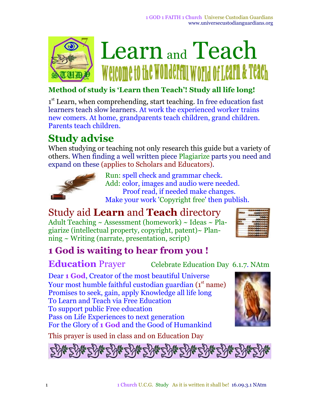

#### **Method of study is 'Learn then Teach'! Study all life long!**

1<sup>st</sup> Learn, when comprehending, start teaching. In free education fast learners teach slow learners. At work the experienced worker trains new comers. At home, grandparents teach children, grand children. Parents teach children.

## **Study advise**

When studying or teaching not only research this guide but a variety of others. When finding a well written piece Plagiarize parts you need and expand on these (applies to Scholars and Educators).



Run: spell check and grammar check. Add: color, images and audio were needed. Proof read, if needed make changes. Make your work 'Copyright free' then publish.

Study aid **Learn** and **Teach** directory Adult Teaching  $\sim$  Assessment (homework)  $\sim$  Ideas  $\sim$  Plagiarize (intellectual property, copyright, patent)~ Plan $ning ~ Writing (narrate, presentation, script)$ 

# **1 God is waiting to hear from you !**

**Education** Prayer Celebrate Education Day 6.1.7. NAtm

Dear **1 God**, Creator of the most beautiful Universe Your most humble faithful custodian guardian (1st name) Promises to seek, gain, apply Knowledge all life long To Learn and Teach via Free Education To support public Free education Pass on Life Experiences to next generation For the Glory of **1 God** and the Good of Humankind

This prayer is used in class and on Education Day



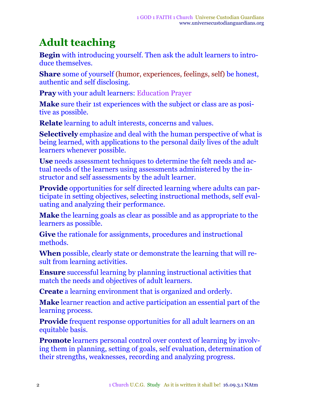# **Adult teaching**

**Begin** with introducing yourself. Then ask the adult learners to introduce themselves.

**Share** some of yourself (humor, experiences, feelings, self) be honest, authentic and self disclosing.

**Pray** with your adult learners: Education Prayer

**Make** sure their 1st experiences with the subject or class are as positive as possible.

**Relate** learning to adult interests, concerns and values.

**Selectively** emphasize and deal with the human perspective of what is being learned, with applications to the personal daily lives of the adult learners whenever possible.

**Use** needs assessment techniques to determine the felt needs and actual needs of the learners using assessments administered by the instructor and self assessments by the adult learner.

**Provide** opportunities for self directed learning where adults can participate in setting objectives, selecting instructional methods, self evaluating and analyzing their performance.

**Make** the learning goals as clear as possible and as appropriate to the learners as possible.

**Give** the rationale for assignments, procedures and instructional methods.

**When** possible, clearly state or demonstrate the learning that will result from learning activities.

**Ensure** successful learning by planning instructional activities that match the needs and objectives of adult learners.

**Create** a learning environment that is organized and orderly.

**Make** learner reaction and active participation an essential part of the learning process.

**Provide** frequent response opportunities for all adult learners on an equitable basis.

**Promote** learners personal control over context of learning by involving them in planning, setting of goals, self evaluation, determination of their strengths, weaknesses, recording and analyzing progress.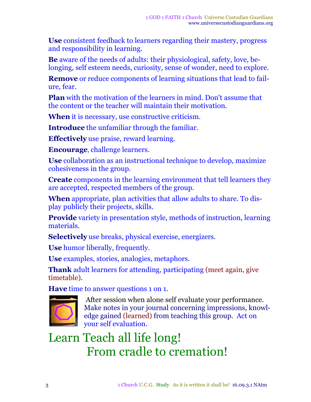**Use** consistent feedback to learners regarding their mastery, progress and responsibility in learning.

**Be** aware of the needs of adults: their physiological, safety, love, belonging, self esteem needs, curiosity, sense of wonder, need to explore.

**Remove** or reduce components of learning situations that lead to failure, fear.

**Plan** with the motivation of the learners in mind. Don't assume that the content or the teacher will maintain their motivation.

**When** it is necessary, use constructive criticism.

**Introduce** the unfamiliar through the familiar.

**Effectively** use praise, reward learning.

**Encourage**, challenge learners.

**Use** collaboration as an instructional technique to develop, maximize cohesiveness in the group.

**Create** components in the learning environment that tell learners they are accepted, respected members of the group.

**When** appropriate, plan activities that allow adults to share. To display publicly their projects, skills.

**Provide** variety in presentation style, methods of instruction, learning materials.

**Selectively** use breaks, physical exercise, energizers.

**Use** humor liberally, frequently.

**Use** examples, stories, analogies, metaphors.

**Thank** adult learners for attending, participating (meet again, give timetable).

**Have** time to answer questions 1 on 1.



After session when alone self evaluate your performance. Make notes in your journal concerning impressions, knowledge gained (learned) from teaching this group. Act on your self evaluation.

# Learn Teach all life long! From cradle to cremation!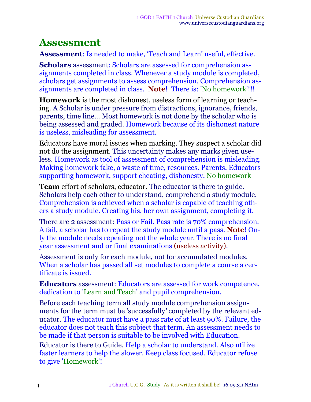## **Assessment**

**Assessment**: Is needed to make, 'Teach and Learn' useful, effective.

**Scholars** assessment: Scholars are assessed for comprehension assignments completed in class. Whenever a study module is completed, scholars get assignments to assess comprehension. Comprehension assignments are completed in class. **Note**! There is: 'No homework'!!!

**Homework** is the most dishonest, useless form of learning or teaching. A Scholar is under pressure from distractions, ignorance, friends, parents, time line... Most homework is not done by the scholar who is being assessed and graded. Homework because of its dishonest nature is useless, misleading for assessment.

Educators have moral issues when marking. They suspect a scholar did not do the assignment. This uncertainty makes any marks given useless. Homework as tool of assessment of comprehension is misleading. Making homework fake, a waste of time, resources. Parents, Educators supporting homework, support cheating, dishonesty. No homework

**Team** effort of scholars, educator. The educator is there to guide. Scholars help each other to understand, comprehend a study module. Comprehension is achieved when a scholar is capable of teaching others a study module. Creating his, her own assignment, completing it.

There are 2 assessment: Pass or Fail. Pass rate is 70% comprehension. A fail, a scholar has to repeat the study module until a pass. **Note**! Only the module needs repeating not the whole year. There is no final year assessment and or final examinations (useless activity).

Assessment is only for each module, not for accumulated modules. When a scholar has passed all set modules to complete a course a certificate is issued.

**Educators** assessment: Educators are assessed for work competence, dedication to 'Learn and Teach' and pupil comprehension.

Before each teaching term all study module comprehension assignments for the term must be 'successfully*'* completed by the relevant educator. The educator must have a pass rate of at least 90%. Failure, the educator does not teach this subject that term. An assessment needs to be made if that person is suitable to be involved with Education.

Educator is there to Guide. Help a scholar to understand. Also utilize faster learners to help the slower. Keep class focused. Educator refuse to give 'Homework'!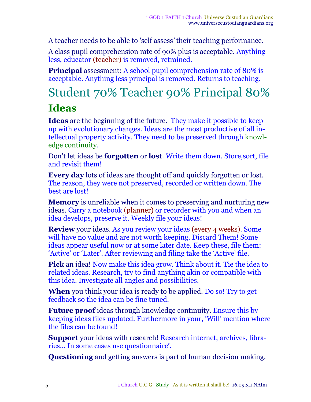A teacher needs to be able to 'self assess*'* their teaching performance.

A class pupil comprehension rate of 90% plus is acceptable. Anything less, educator (teacher) is removed, retrained.

**Principal** assessment: A school pupil comprehension rate of 80% is acceptable. Anything less principal is removed. Returns to teaching.

# Student 70% Teacher 90% Principal 80% **Ideas**

**Ideas** are the beginning of the future. They make it possible to keep up with evolutionary changes. Ideas are the most productive of all intellectual property activity. They need to be preserved through knowledge continuity.

Don't let ideas be **forgotten** or **lost**. Write them down. Store,sort, file and revisit them!

**Every day** lots of ideas are thought off and quickly forgotten or lost. The reason, they were not preserved, recorded or written down. The best are lost!

**Memory** is unreliable when it comes to preserving and nurturing new ideas. Carry a notebook (planner) or recorder with you and when an idea develops, preserve it. Weekly file your ideas!

**Review** your ideas. As you review your ideas (every 4 weeks). Some will have no value and are not worth keeping. Discard Them! Some ideas appear useful now or at some later date. Keep these, file them: 'Active' or 'Later'. After reviewing and filing take the 'Active' file.

**Pick** an idea! Now make this idea grow. Think about it. Tie the idea to related ideas. Research, try to find anything akin or compatible with this idea. Investigate all angles and possibilities.

**When** you think your idea is ready to be applied. Do so! Try to get feedback so the idea can be fine tuned.

**Future proof** ideas through knowledge continuity. Ensure this by keeping ideas files updated. Furthermore in your, 'Will' mention where the files can be found!

**Support** your ideas with research! Research internet, archives, libraries... In some cases use questionnaire'.

**Questioning** and getting answers is part of human decision making.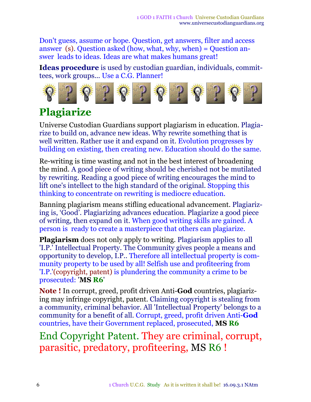Don't guess, assume or hope. Question, get answers, filter and access answer (s). Question asked (how, what, why, when) = Question answer leads to ideas. Ideas are what makes humans great!

**Ideas procedure** is used by custodian guardian, individuals, committees, work groups... Use a C.G. Planner!



## **Plagiarize**

Universe Custodian Guardians support plagiarism in education. Plagiarize to build on, advance new ideas. Why rewrite something that is well written. Rather use it and expand on it. Evolution progresses by building on existing, then creating new. Education should do the same.

Re-writing is time wasting and not in the best interest of broadening the mind. A good piece of writing should be cherished not be mutilated by rewriting. Reading a good piece of writing encourages the mind to lift one's intellect to the high standard of the original. Stopping this thinking to concentrate on rewriting is mediocre education.

Banning plagiarism means stifling educational advancement. Plagiarizing is, 'Good'. Plagiarizing advances education. Plagiarize a good piece of writing, then expand on it. When good writing skills are gained. A person is ready to create a masterpiece that others can plagiarize.

**Plagiarism** does not only apply to writing. Plagiarism applies to all 'I.P.' Intellectual Property. The Community gives people a means and opportunity to develop, I.P.. Therefore all intellectual property is community property to be used by all! Selfish use and profiteering from 'I.P.'(copyright, patent) is plundering the community a crime to be prosecuted: '**MS R6**'

**Note !** In corrupt, greed, profit driven Anti-**God** countries, plagiarizing may infringe copyright, patent. Claiming copyright is stealing from a community, criminal behavior. All 'Intellectual Property' belongs to a community for a benefit of all. Corrupt, greed, profit driven Anti-**God** countries, have their Government replaced, prosecuted, **MS R6**

End Copyright Patent. They are criminal, corrupt, parasitic, predatory, profiteering, MS R6 !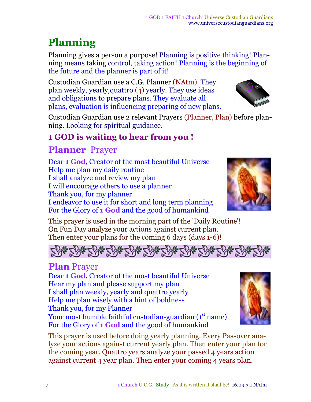# **Planning**

Planning gives a person a purpose! Planning is positive thinking! Planning means taking control, taking action! Planning is the beginning of the future and the planner is part of it!

Custodian Guardian use a C.G. Planner (NAtm). They plan weekly, yearly,quattro (4) yearly. They use ideas and obligations to prepare plans. They evaluate all plans, evaluation is influencing preparing of new plans.

Custodian Guardian use 2 relevant Prayers (Planner, Plan) before planning. Looking for spiritual guidance.

#### **1 GOD is waiting to hear from you !**

### **Planner** Prayer

Dear **1 God**, Creator of the most beautiful Universe Help me plan my daily routine I shall analyze and review my plan I will encourage others to use a planner Thank you, for my planner I endeavor to use it for short and long term planning For the Glory of **1 God** and the good of humankind

Then enter your plans for the coming 6 days (days 1-6)!



Dear **1 God**, Creator of the most beautiful Universe Hear my plan and please support my plan I shall plan weekly, yearly and quattro yearly Help me plan wisely with a hint of boldness Thank you, for my Planner Your most humble faithful custodian-guardian (1<sup>st</sup> name) For the Glory of **1 God** and the good of humankind

This prayer is used before doing yearly planning. Every Passover analyze your actions against current yearly plan. Then enter your plan for the coming year. Quattro years analyze your passed 4 years action against current 4 year plan. Then enter your coming 4 years plan.

This prayer is used in the morning part of the 'Daily Routine'! On Fun Day analyze your actions against current plan.







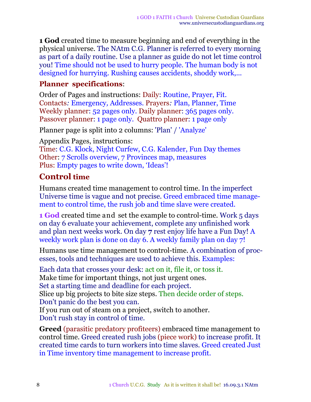**1 God** created time to measure beginning and end of everything in the physical universe. The NAtm C.G. Planner is referred to every morning as part of a daily routine. Use a planner as guide do not let time control you! Time should not be used to hurry people. The human body is not designed for hurrying. Rushing causes accidents, shoddy work,...

#### **Planner specifications**:

Order of Pages and instructions: Daily: Routine, Prayer, Fit. Contacts*:* Emergency*,* Addresses. Prayers*:* Plan, Planner, Time Weekly planner: 52 pages only. Daily planner: 365 pages only. Passover planner: 1 page only. Quattro planner: 1 page only

Planner page is split into 2 columns: 'Plan' / 'Analyze'

Appendix Pages, instructions:

Time: C.G. Klock, Night Curfew, C.G. Kalender, Fun Day themes Other: 7 Scrolls overview, 7 Provinces map, measures Plus: Empty pages to write down, 'Ideas'!

#### **Control time**

Humans created time management to control time. In the imperfect Universe time is vague and not precise. Greed embraced time management to control time, the rush job and time slave were created.

**1 God** created time and set the example to control-time. Work 5 days on day 6 evaluate your achievement, complete any unfinished work and plan next weeks work. On day **7** rest enjoy life have a Fun Day! A weekly work plan is done on day 6. A weekly family plan on day 7!

Humans use time management to control-time. A combination of processes, tools and techniques are used to achieve this. Examples:

Each data that crosses your desk: act on it, file it, or toss it. Make time for important things, not just urgent ones. Set a starting time and deadline for each project. Slice up big projects to bite size steps. Then decide order of steps. Don't panic do the best you can.

If you run out of steam on a project, switch to another. Don't rush stay in control of time.

**Greed** (parasitic predatory profiteers) embraced time management to control time. Greed created rush jobs (piece work) to increase profit. It created time cards to turn workers into time slaves. Greed created Just in Time inventory time management to increase profit.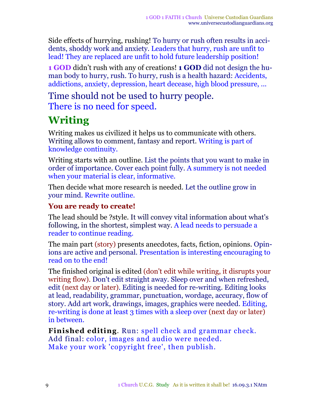Side effects of hurrying, rushing! To hurry or rush often results in accidents, shoddy work and anxiety. Leaders that hurry, rush are unfit to lead! They are replaced are unfit to hold future leadership position!

**1 GOD** didn't rush with any of creations! **1 GOD** did not design the human body to hurry, rush. To hurry, rush is a health hazard: Accidents, addictions, anxiety, depression, heart decease, high blood pressure, ...

Time should not be used to hurry people. There is no need for speed.

# **Writing**

Writing makes us civilized it helps us to communicate with others. Writing allows to comment, fantasy and report. Writing is part of knowledge continuity.

Writing starts with an outline. List the points that you want to make in order of importance. Cover each point fully. A summery is not needed when your material is clear, informative.

Then decide what more research is needed. Let the outline grow in your mind. Rewrite outline.

#### **You are ready to create!**

The lead should be ?style. It will convey vital information about what's following, in the shortest, simplest way. A lead needs to persuade a reader to continue reading.

The main part (story) presents anecdotes, facts, fiction, opinions. Opinions are active and personal. Presentation is interesting encouraging to read on to the end!

The finished original is edited (don't edit while writing, it disrupts your writing flow). Don't edit straight away. Sleep over and when refreshed, edit (next day or later). Editing is needed for re-writing. Editing looks at lead, readability, grammar, punctuation, wordage, accuracy, flow of story. Add art work, drawings, images, graphics were needed. Editing, re-writing is done at least 3 times with a sleep over (next day or later) in between.

**Finished editing**. Run: spell check and grammar check. Add final: color, images and audio were needed. Make your work 'copyright free', then publish.